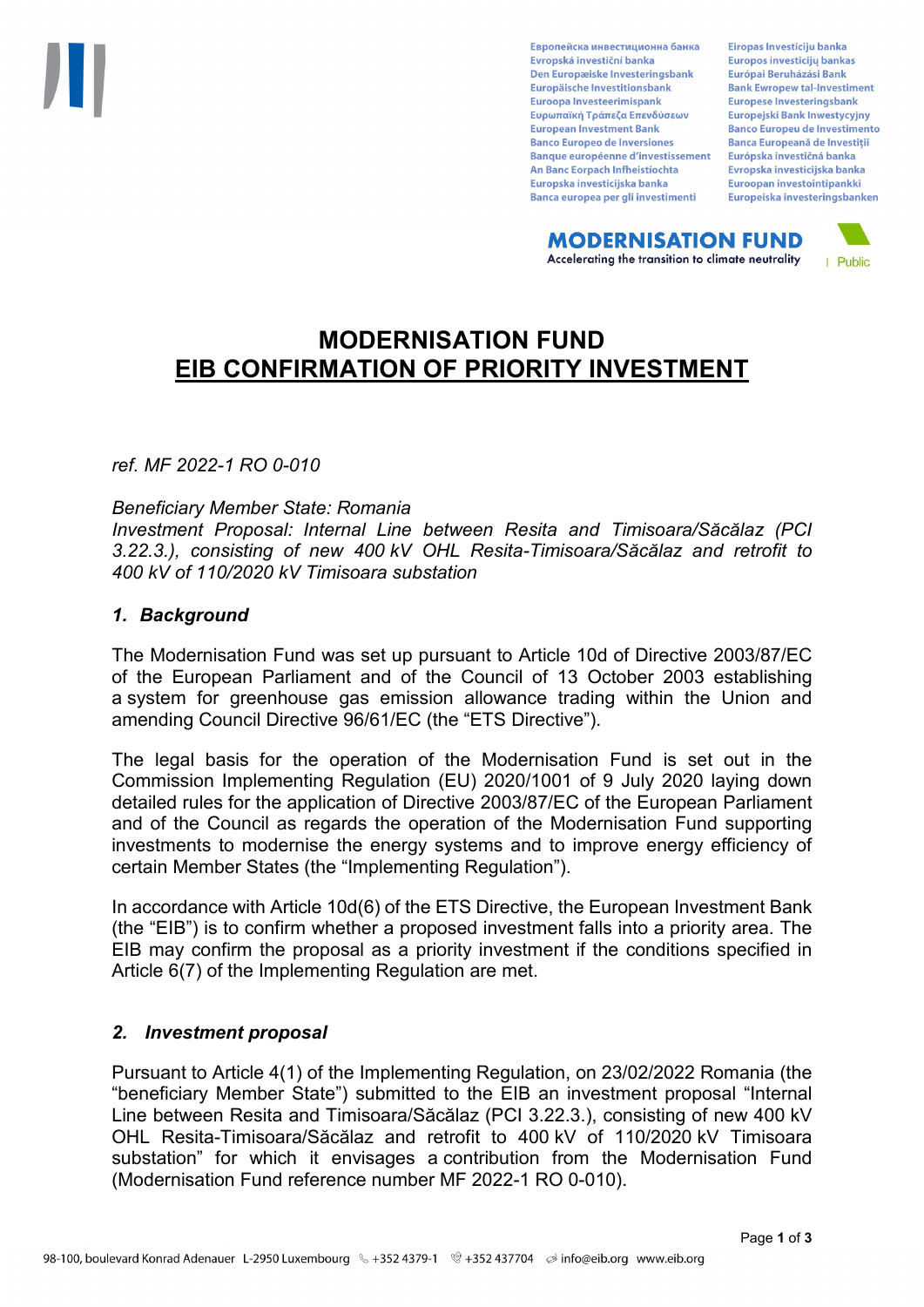Европейска инвестиционна банка Evropská investiční banka Den Europæiske Investeringsbank Europäische Investitionsbank Euroopa Investeerimispank Ευρωπαϊκή Τράπεζα Επενδύσεων **European Investment Bank Banco Europeo de Inversiones Banque européenne d'investissement** An Banc Eorpach Infheistíochta Europska investicijska banka Banca europea per gli investimenti

Eiropas Investīciju banka Europos investicijų bankas Európai Beruházási Bank **Bank Ewropew tal-Investiment** Europese Investeringsbank Europejski Bank Inwestycyjny **Banco Europeu de Investimento Banca Europeană de Investiții** Európska investičná banka Evropska investicijska banka Euroopan investointipankki Europeiska investeringsbanken

**MODERNISATION FUND** Accelerating the transition to climate neutrality



# **MODERNISATION FUND EIB CONFIRMATION OF PRIORITY INVESTMENT**

*ref. MF 2022-1 RO 0-010*

#### *Beneficiary Member State: Romania*

*Investment Proposal: Internal Line between Resita and Timisoara/Săcălaz (PCI 3.22.3.), consisting of new 400 kV OHL Resita-Timisoara/Săcălaz and retrofit to 400 kV of 110/2020 kV Timisoara substation*

### *1. Background*

The Modernisation Fund was set up pursuant to Article 10d of Directive 2003/87/EC of the European Parliament and of the Council of 13 October 2003 establishing a system for greenhouse gas emission allowance trading within the Union and amending Council Directive 96/61/EC (the "ETS Directive").

The legal basis for the operation of the Modernisation Fund is set out in the Commission Implementing Regulation (EU) 2020/1001 of 9 July 2020 laying down detailed rules for the application of Directive 2003/87/EC of the European Parliament and of the Council as regards the operation of the Modernisation Fund supporting investments to modernise the energy systems and to improve energy efficiency of certain Member States (the "Implementing Regulation").

In accordance with Article 10d(6) of the ETS Directive, the European Investment Bank (the "EIB") is to confirm whether a proposed investment falls into a priority area. The EIB may confirm the proposal as a priority investment if the conditions specified in Article 6(7) of the Implementing Regulation are met.

### *2. Investment proposal*

Pursuant to Article 4(1) of the Implementing Regulation, on 23/02/2022 Romania (the "beneficiary Member State") submitted to the EIB an investment proposal "Internal Line between Resita and Timisoara/Săcălaz (PCI 3.22.3.), consisting of new 400 kV OHL Resita-Timisoara/Săcălaz and retrofit to 400 kV of 110/2020 kV Timisoara substation" for which it envisages a contribution from the Modernisation Fund (Modernisation Fund reference number MF 2022-1 RO 0-010).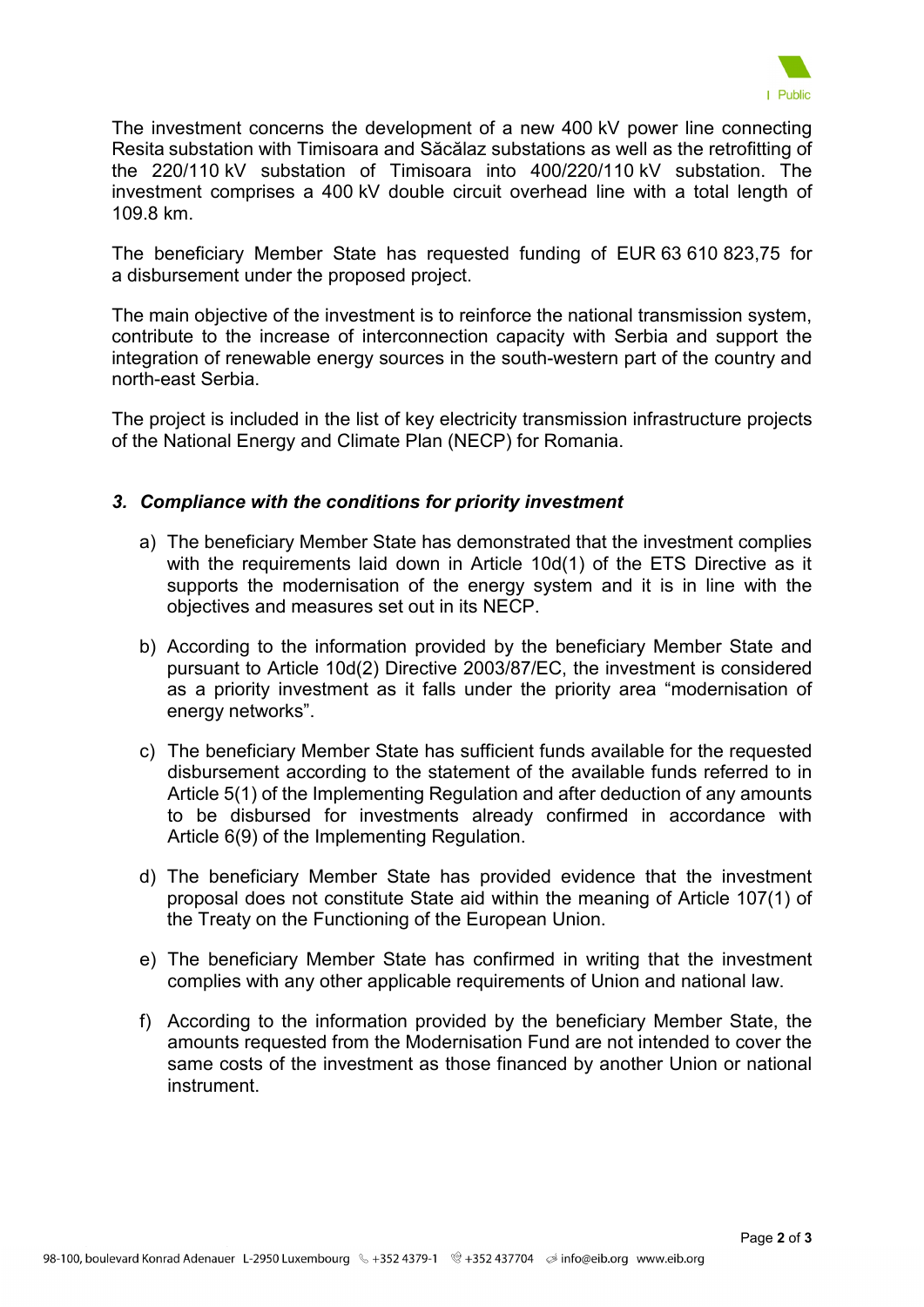

The investment concerns the development of a new 400 kV power line connecting Resita substation with Timisoara and Săcălaz substations as well as the retrofitting of the 220/110 kV substation of Timisoara into 400/220/110 kV substation. The investment comprises a 400 kV double circuit overhead line with a total length of 109.8 km.

The beneficiary Member State has requested funding of EUR 63 610 823,75 for a disbursement under the proposed project.

The main objective of the investment is to reinforce the national transmission system, contribute to the increase of interconnection capacity with Serbia and support the integration of renewable energy sources in the south-western part of the country and north-east Serbia.

The project is included in the list of key electricity transmission infrastructure projects of the National Energy and Climate Plan (NECP) for Romania.

## *3. Compliance with the conditions for priority investment*

- a) The beneficiary Member State has demonstrated that the investment complies with the requirements laid down in Article 10d(1) of the ETS Directive as it supports the modernisation of the energy system and it is in line with the objectives and measures set out in its NECP.
- b) According to the information provided by the beneficiary Member State and pursuant to Article 10d(2) Directive 2003/87/EC, the investment is considered as a priority investment as it falls under the priority area "modernisation of energy networks".
- c) The beneficiary Member State has sufficient funds available for the requested disbursement according to the statement of the available funds referred to in Article 5(1) of the Implementing Regulation and after deduction of any amounts to be disbursed for investments already confirmed in accordance with Article 6(9) of the Implementing Regulation.
- d) The beneficiary Member State has provided evidence that the investment proposal does not constitute State aid within the meaning of Article 107(1) of the Treaty on the Functioning of the European Union.
- e) The beneficiary Member State has confirmed in writing that the investment complies with any other applicable requirements of Union and national law.
- f) According to the information provided by the beneficiary Member State, the amounts requested from the Modernisation Fund are not intended to cover the same costs of the investment as those financed by another Union or national instrument.